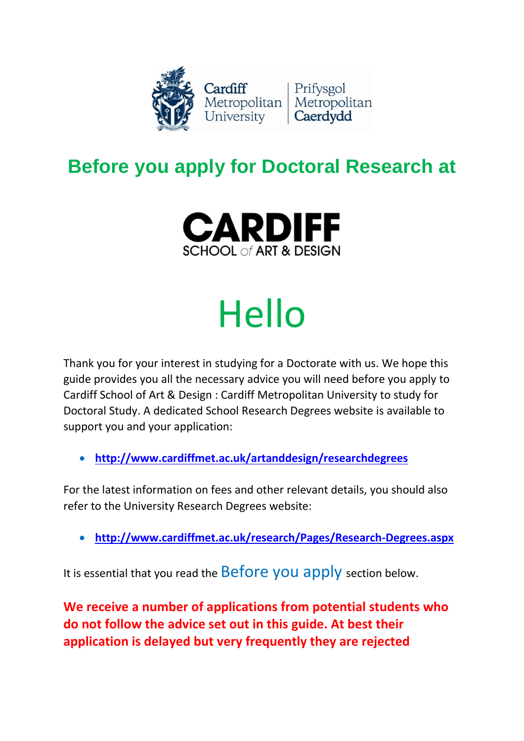

### **Before you apply for Doctoral Research at**



# Hello

Thank you for your interest in studying for a Doctorate with us. We hope this guide provides you all the necessary advice you will need before you apply to Cardiff School of Art & Design : Cardiff Metropolitan University to study for Doctoral Study. A dedicated School Research Degrees website is available to support you and your application:

• **<http://www.cardiffmet.ac.uk/artanddesign/researchdegrees>**

For the latest information on fees and other relevant details, you should also refer to the University Research Degrees website:

• **<http://www.cardiffmet.ac.uk/research/Pages/Research-Degrees.aspx>**

It is essential that you read the **Before you apply** section below.

**We receive a number of applications from potential students who do not follow the advice set out in this guide. At best their application is delayed but very frequently they are rejected**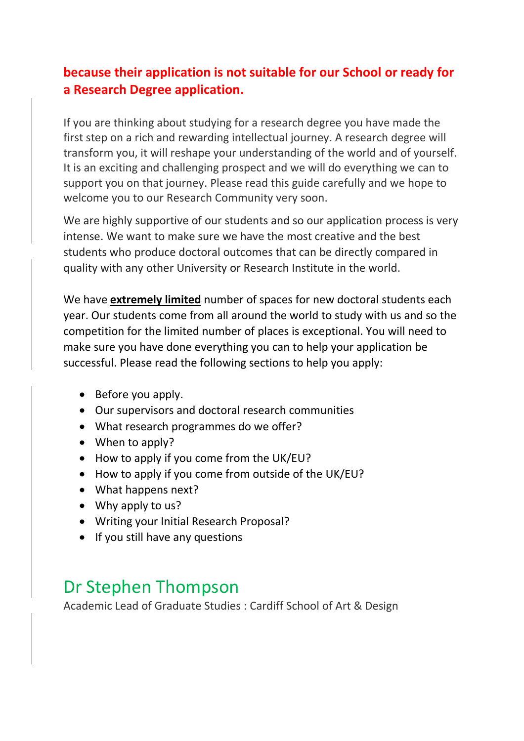#### **because their application is not suitable for our School or ready for a Research Degree application.**

If you are thinking about studying for a research degree you have made the first step on a rich and rewarding intellectual journey. A research degree will transform you, it will reshape your understanding of the world and of yourself. It is an exciting and challenging prospect and we will do everything we can to support you on that journey. Please read this guide carefully and we hope to welcome you to our Research Community very soon.

We are highly supportive of our students and so our application process is very intense. We want to make sure we have the most creative and the best students who produce doctoral outcomes that can be directly compared in quality with any other University or Research Institute in the world.

We have **extremely limited** number of spaces for new doctoral students each year. Our students come from all around the world to study with us and so the competition for the limited number of places is exceptional. You will need to make sure you have done everything you can to help your application be successful. Please read the following sections to help you apply:

- Before you apply.
- Our supervisors and doctoral research communities
- What research programmes do we offer?
- When to apply?
- How to apply if you come from the UK/EU?
- How to apply if you come from outside of the UK/EU?
- What happens next?
- Why apply to us?
- Writing your Initial Research Proposal?
- If you still have any questions

#### Dr Stephen Thompson

Academic Lead of Graduate Studies : Cardiff School of Art & Design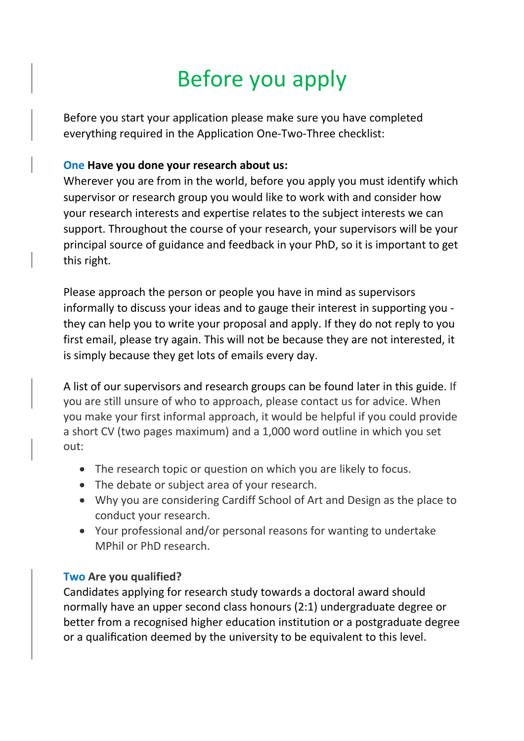# Before you apply

Before you start your application please make sure you have completed everything required in the Application One-Two-Three checklist:

#### **One Have you done your research about us:**

Wherever you are from in the world, before you apply you must identify which supervisor or research group you would like to work with and consider how your research interests and expertise relates to the subject interests we can support. Throughout the course of your research, your supervisors will be your principal source of guidance and feedback in your PhD, so it is important to get this right.

Please approach the person or people you have in mind as supervisors informally to discuss your ideas and to gauge their interest in supporting you they can help you to write your proposal and apply. If they do not reply to you first email, please try again. This will not be because they are not interested, it is simply because they get lots of emails every day.

A list of our supervisors and research groups can be found later in this guide. If you are still unsure of who to approach, please contact us for advice. When you make your first informal approach, it would be helpful if you could provide a short CV (two pages maximum) and a 1,000 word outline in which you set out:

- The research topic or question on which you are likely to focus.
- The debate or subject area of your research.
- Why you are considering Cardiff School of Art and Design as the place to conduct your research.
- Your professional and/or personal reasons for wanting to undertake MPhil or PhD research.

#### **Two Are you qualified?**

Candidates applying for research study towards a doctoral award should normally have an upper second class honours (2:1) undergraduate degree or better from a recognised higher education institution or a postgraduate degree or a qualification deemed by the university to be equivalent to this level.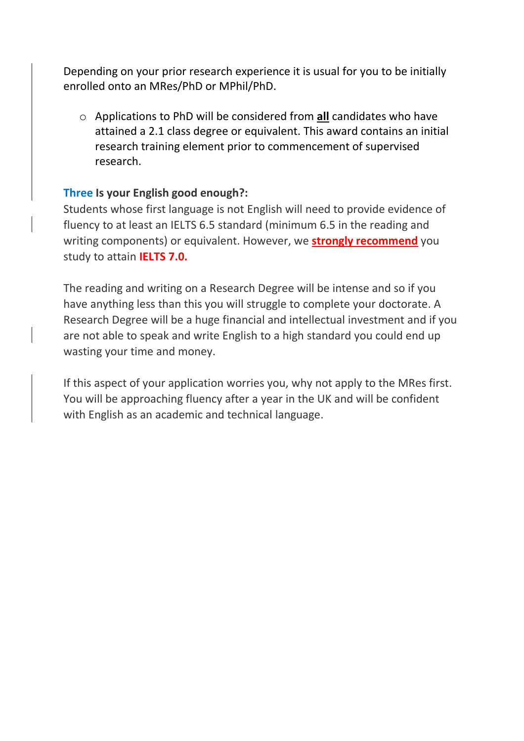Depending on your prior research experience it is usual for you to be initially enrolled onto an MRes/PhD or MPhil/PhD.

o Applications to PhD will be considered from **all** candidates who have attained a 2.1 class degree or equivalent. This award contains an initial research training element prior to commencement of supervised research.

#### **Three Is your English good enough?:**

Students whose first language is not English will need to provide evidence of fluency to at least an IELTS 6.5 standard (minimum 6.5 in the reading and writing components) or equivalent. However, we **strongly recommend** you study to attain **IELTS 7.0.** 

The reading and writing on a Research Degree will be intense and so if you have anything less than this you will struggle to complete your doctorate. A Research Degree will be a huge financial and intellectual investment and if you are not able to speak and write English to a high standard you could end up wasting your time and money.

If this aspect of your application worries you, why not apply to the MRes first. You will be approaching fluency after a year in the UK and will be confident with English as an academic and technical language.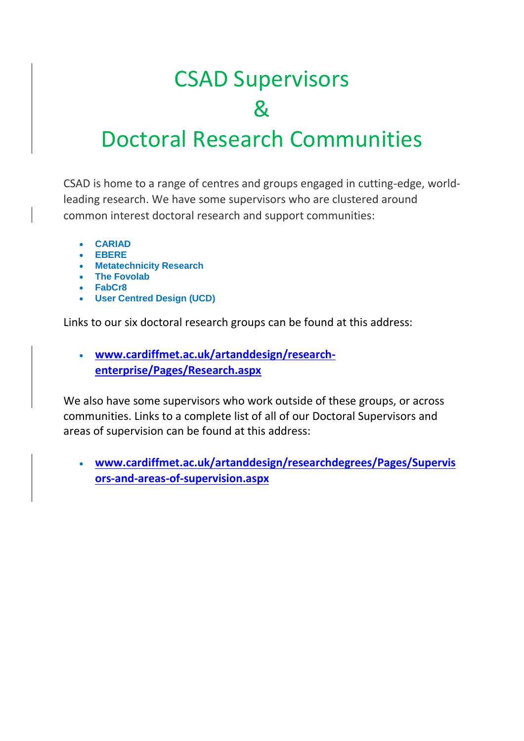# CSAD Supervisors &

### Doctoral Research Communities

CSAD is home to a range of centres and groups engaged in cutting-edge, worldleading research. We have some supervisors who are clustered around common interest doctoral research and support communities:

- **CARIAD**
- **EBERE**
- **Metatechnicity Research**
- **The Fovolab**
- **FabCr8**
- **User Centred Design (UCD)**

Links to our six doctoral research groups can be found at this address:

• **[www.cardiffmet.ac.uk/artanddesign/research](http://www.cardiffmet.ac.uk/artanddesign/research-enterprise/Pages/Research.aspx)[enterprise/Pages/Research.aspx](http://www.cardiffmet.ac.uk/artanddesign/research-enterprise/Pages/Research.aspx)**

We also have some supervisors who work outside of these groups, or across communities. Links to a complete list of all of our Doctoral Supervisors and areas of supervision can be found at this address:

• **[www.cardiffmet.ac.uk/artanddesign/researchdegrees/Pages/Supervis](http://www.cardiffmet.ac.uk/artanddesign/researchdegrees/Pages/Supervisors-and-areas-of-supervision.aspx) [ors-and-areas-of-supervision.aspx](http://www.cardiffmet.ac.uk/artanddesign/researchdegrees/Pages/Supervisors-and-areas-of-supervision.aspx)**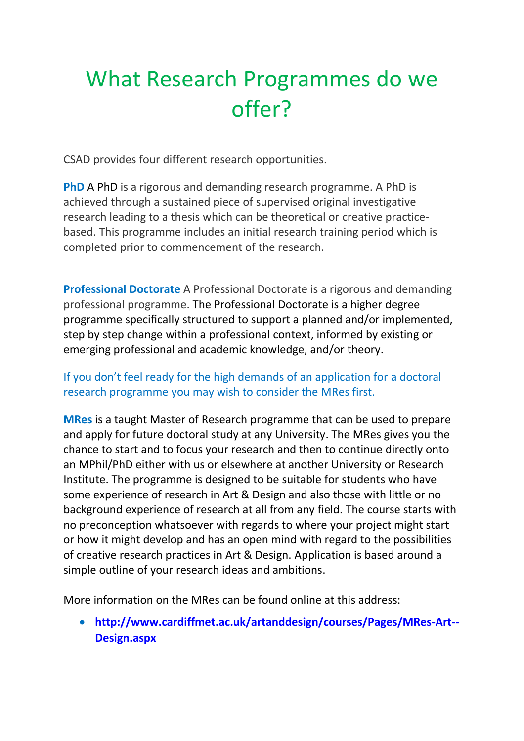## What Research Programmes do we offer?

CSAD provides four different research opportunities.

**PhD** A PhD is a rigorous and demanding research programme. A PhD is achieved through a sustained piece of supervised original investigative research leading to a thesis which can be theoretical or creative practicebased. This programme includes an initial research training period which is completed prior to commencement of the research.

**Professional Doctorate** A Professional Doctorate is a rigorous and demanding professional programme. The Professional Doctorate is a higher degree programme specifically structured to support a planned and/or implemented, step by step change within a professional context, informed by existing or emerging professional and academic knowledge, and/or theory.

#### If you don't feel ready for the high demands of an application for a doctoral research programme you may wish to consider the MRes first.

**MRes** is a taught Master of Research programme that can be used to prepare and apply for future doctoral study at any University. The MRes gives you the chance to start and to focus your research and then to continue directly onto an MPhil/PhD either with us or elsewhere at another University or Research Institute. The programme is designed to be suitable for students who have some experience of research in Art & Design and also those with little or no background experience of research at all from any field. The course starts with no preconception whatsoever with regards to where your project might start or how it might develop and has an open mind with regard to the possibilities of creative research practices in Art & Design. Application is based around a simple outline of your research ideas and ambitions.

More information on the MRes can be found online at this address:

• **[http://www.cardiffmet.ac.uk/artanddesign/courses/Pages/MRes-Art--](http://www.cardiffmet.ac.uk/artanddesign/courses/Pages/MRes-Art--Design.aspx) [Design.aspx](http://www.cardiffmet.ac.uk/artanddesign/courses/Pages/MRes-Art--Design.aspx)**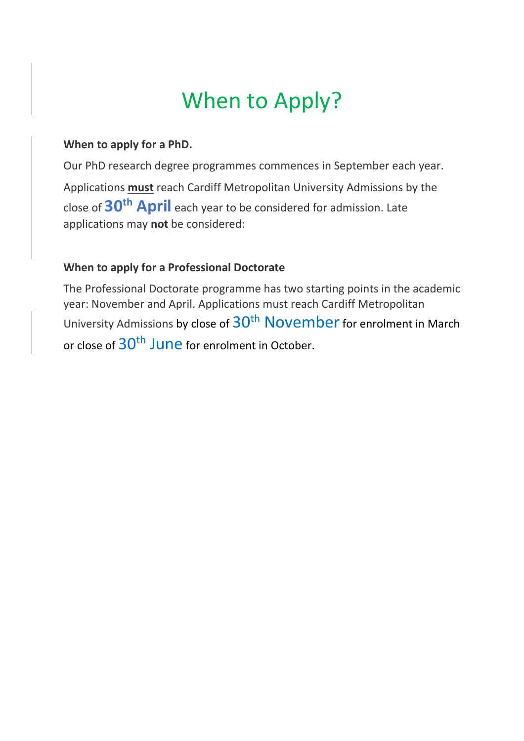### When to Apply?

#### **When to apply for a PhD.**

Our PhD research degree programmes commences in September each year. Applications **must** reach Cardiff Metropolitan University Admissions by the close of **30th April** each year to be considered for admission. Late applications may **not** be considered:

#### **When to apply for a Professional Doctorate**

The Professional Doctorate programme has two starting points in the academic year: November and April. Applications must reach Cardiff Metropolitan University Admissions by close of 30<sup>th</sup> November for enrolment in March or close of  $30<sup>th</sup>$  June for enrolment in October.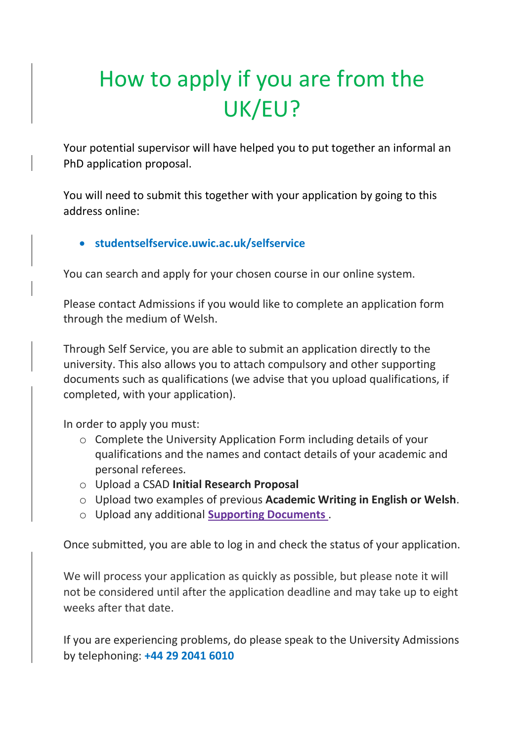# How to apply if you are from the UK/EU?

Your potential supervisor will have helped you to put together an informal an PhD application proposal.

You will need to submit this together with your application by going to this address online:

#### • **studentselfservice.uwic.ac.uk/selfservice**

You can search and apply for your chosen course in our online system.

Please contact Admissions if you would like to complete an application form through the medium of Welsh.

Through Self Service, you are able to submit an application directly to the university. This also allows you to attach compulsory and other supporting documents such as qualifications (we advise that you upload qualifications, if completed, with your application).

In order to apply you must:

- o Complete the University Application Form including details of your qualifications and the names and contact details of your academic and personal referees.
- o Upload a CSAD **Initial Research Proposal**
- o Upload two examples of previous **Academic Writing in English or Welsh**.
- o Upload any additional **Supporting Documents** .

Once submitted, you are able to log in and check the status of your application.

We will process your application as quickly as possible, but please note it will not be considered until after the application deadline and may take up to eight weeks after that date.

If you are experiencing problems, do please speak to the University Admissions by telephoning: **+44 29 2041 6010**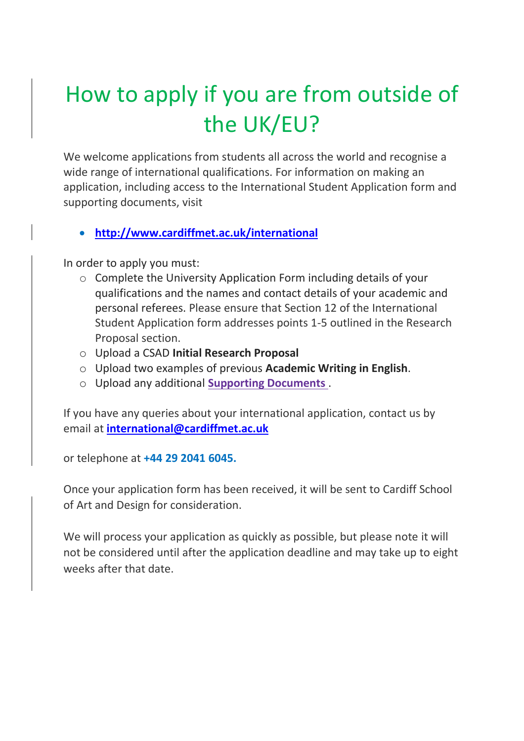# How to apply if you are from outside of the UK/EU?

We welcome applications from students all across the world and recognise a wide range of international qualifications. For information on making an application, including access to the International Student Application form and supporting documents, visit

• **<http://www.cardiffmet.ac.uk/international>**

In order to apply you must:

- o Complete the University Application Form including details of your qualifications and the names and contact details of your academic and personal referees. Please ensure that Section 12 of the International Student Application form addresses points 1-5 outlined in the Research Proposal section.
- o Upload a CSAD **Initial Research Proposal**
- o Upload two examples of previous **Academic Writing in English**.
- o Upload any additional **Supporting Documents** .

If you have any queries about your international application, contact us by email at **[international@cardiffmet.ac.uk](mailto:international@cardiffmet.ac.uk)**

or telephone at **+44 29 2041 6045.** 

Once your application form has been received, it will be sent to Cardiff School of Art and Design for consideration.

We will process your application as quickly as possible, but please note it will not be considered until after the application deadline and may take up to eight weeks after that date.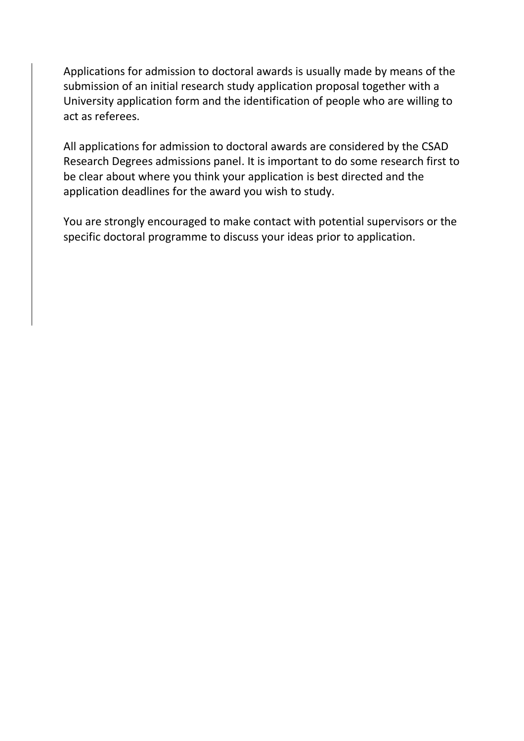Applications for admission to doctoral awards is usually made by means of the submission of an initial research study application proposal together with a University application form and the identification of people who are willing to act as referees.

All applications for admission to doctoral awards are considered by the CSAD Research Degrees admissions panel. It is important to do some research first to be clear about where you think your application is best directed and the application deadlines for the award you wish to study.

You are strongly encouraged to make contact with potential supervisors or the specific doctoral programme to discuss your ideas prior to application.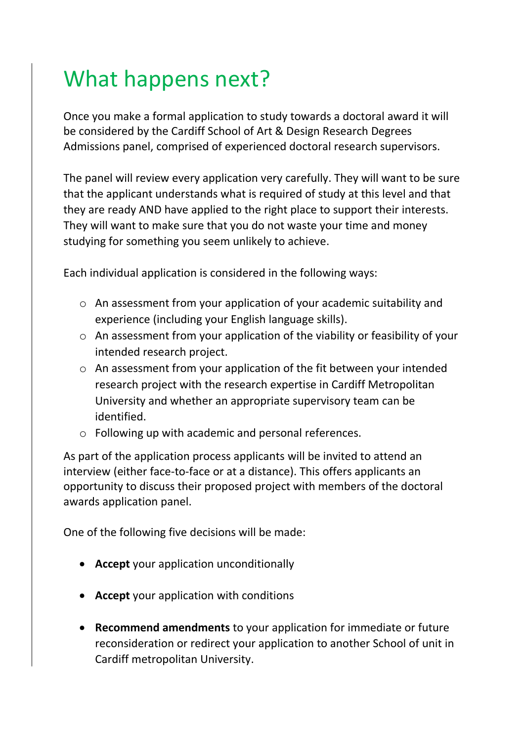### What happens next?

Once you make a formal application to study towards a doctoral award it will be considered by the Cardiff School of Art & Design Research Degrees Admissions panel, comprised of experienced doctoral research supervisors.

The panel will review every application very carefully. They will want to be sure that the applicant understands what is required of study at this level and that they are ready AND have applied to the right place to support their interests. They will want to make sure that you do not waste your time and money studying for something you seem unlikely to achieve.

Each individual application is considered in the following ways:

- o An assessment from your application of your academic suitability and experience (including your English language skills).
- o An assessment from your application of the viability or feasibility of your intended research project.
- o An assessment from your application of the fit between your intended research project with the research expertise in Cardiff Metropolitan University and whether an appropriate supervisory team can be identified.
- o Following up with academic and personal references.

As part of the application process applicants will be invited to attend an interview (either face-to-face or at a distance). This offers applicants an opportunity to discuss their proposed project with members of the doctoral awards application panel.

One of the following five decisions will be made:

- **Accept** your application unconditionally
- **Accept** your application with conditions
- **Recommend amendments** to your application for immediate or future reconsideration or redirect your application to another School of unit in Cardiff metropolitan University.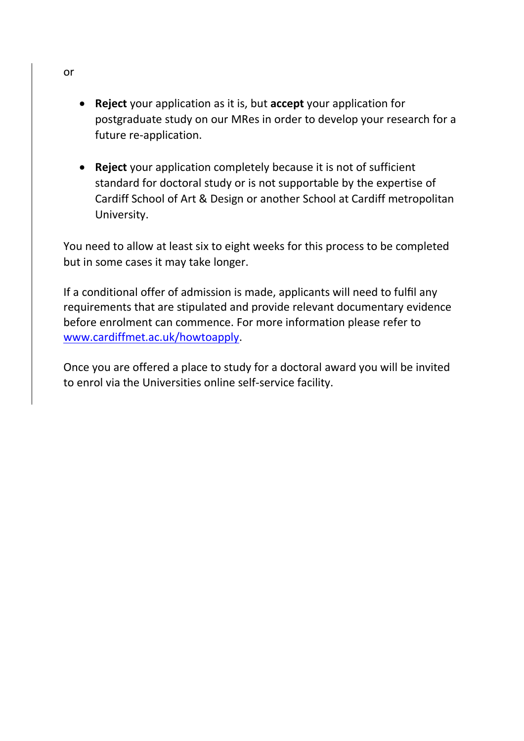- **Reject** your application as it is, but **accept** your application for postgraduate study on our MRes in order to develop your research for a future re-application.
- **Reject** your application completely because it is not of sufficient standard for doctoral study or is not supportable by the expertise of Cardiff School of Art & Design or another School at Cardiff metropolitan University.

You need to allow at least six to eight weeks for this process to be completed but in some cases it may take longer.

If a conditional offer of admission is made, applicants will need to fulfil any requirements that are stipulated and provide relevant documentary evidence before enrolment can commence. For more information please refer to [www.cardiffmet.ac.uk/howtoapply.](http://www.cardiffmet.ac.uk/howtoapply)

Once you are offered a place to study for a doctoral award you will be invited to enrol via the Universities online self-service facility.

or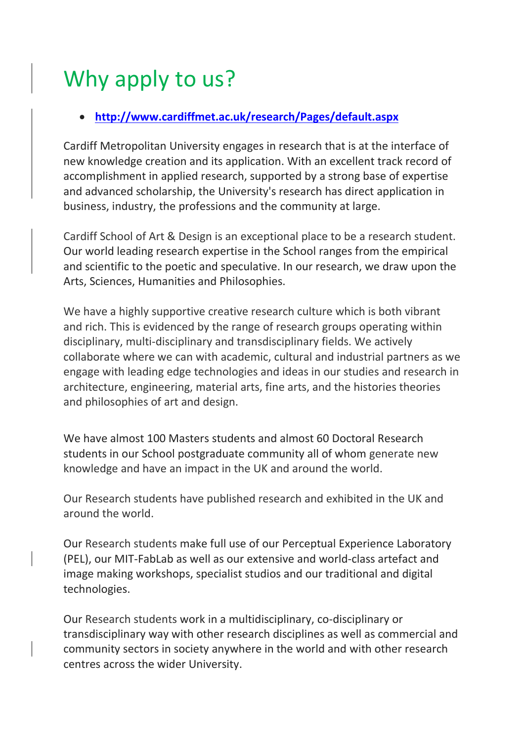# Why apply to us?

#### • **<http://www.cardiffmet.ac.uk/research/Pages/default.aspx>**

Cardiff Metropolitan University engages in research that is at the interface of new knowledge creation and its application. With an excellent track record of accomplishment in applied research, supported by a strong base of expertise and advanced scholarship, the University's research has direct application in business, industry, the professions and the community at large.

Cardiff School of Art & Design is an exceptional place to be a research student. Our world leading research expertise in the School ranges from the empirical and scientific to the poetic and speculative. In our research, we draw upon the Arts, Sciences, Humanities and Philosophies.

We have a highly supportive creative research culture which is both vibrant and rich. This is evidenced by the range of research groups operating within disciplinary, multi-disciplinary and transdisciplinary fields. We actively collaborate where we can with academic, cultural and industrial partners as we engage with leading edge technologies and ideas in our studies and research in architecture, engineering, material arts, fine arts, and the histories theories and philosophies of art and design.

We have almost 100 Masters students and almost 60 Doctoral Research students in our School postgraduate community all of whom generate new knowledge and have an impact in the UK and around the world.

Our Research students have published research and exhibited in the UK and around the world.

Our Research students make full use of our Perceptual Experience Laboratory (PEL), our MIT-FabLab as well as our extensive and world-class artefact and image making workshops, specialist studios and our traditional and digital technologies.

Our Research students work in a multidisciplinary, co-disciplinary or transdisciplinary way with other research disciplines as well as commercial and community sectors in society anywhere in the world and with other research centres across the wider University.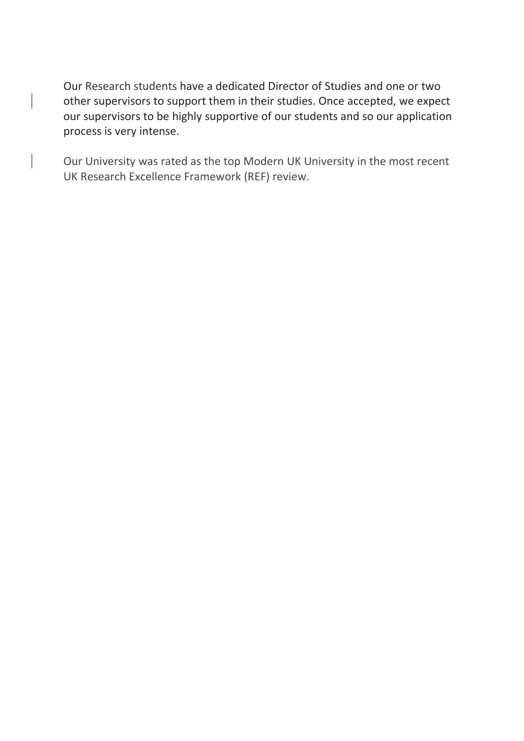Our Research students have a dedicated Director of Studies and one or two other supervisors to support them in their studies. Once accepted, we expect our supervisors to be highly supportive of our students and so our application process is very intense.

Our University was rated as the top Modern UK University in the most recent UK Research Excellence Framework (REF) review.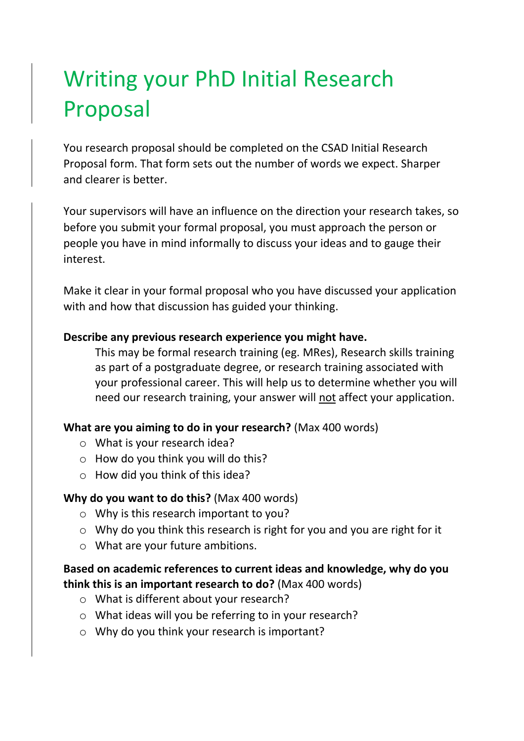# Writing your PhD Initial Research Proposal

You research proposal should be completed on the CSAD Initial Research Proposal form. That form sets out the number of words we expect. Sharper and clearer is better.

Your supervisors will have an influence on the direction your research takes, so before you submit your formal proposal, you must approach the person or people you have in mind informally to discuss your ideas and to gauge their interest.

Make it clear in your formal proposal who you have discussed your application with and how that discussion has guided your thinking.

#### **Describe any previous research experience you might have.**

This may be formal research training (eg. MRes), Research skills training as part of a postgraduate degree, or research training associated with your professional career. This will help us to determine whether you will need our research training, your answer will not affect your application.

#### **What are you aiming to do in your research?** (Max 400 words)

- o What is your research idea?
- $\circ$  How do you think you will do this?
- o How did you think of this idea?

#### **Why do you want to do this?** (Max 400 words)

- o Why is this research important to you?
- o Why do you think this research is right for you and you are right for it
- o What are your future ambitions.

#### **Based on academic references to current ideas and knowledge, why do you think this is an important research to do?** (Max 400 words)

- o What is different about your research?
- o What ideas will you be referring to in your research?
- o Why do you think your research is important?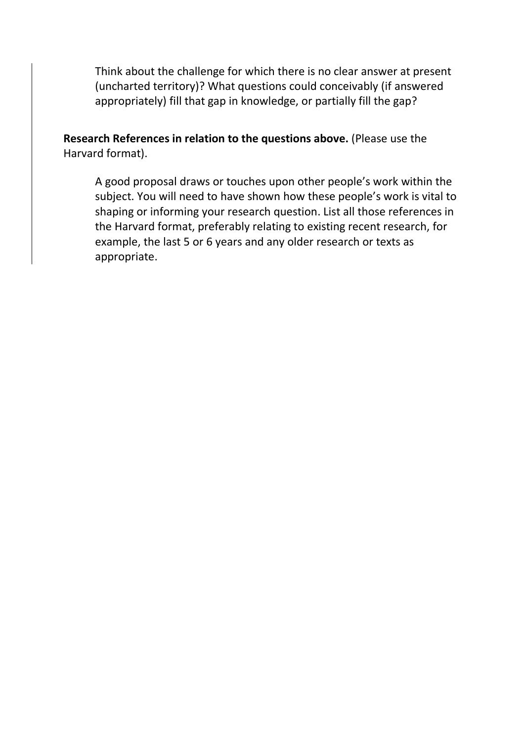Think about the challenge for which there is no clear answer at present (uncharted territory)? What questions could conceivably (if answered appropriately) fill that gap in knowledge, or partially fill the gap?

**Research References in relation to the questions above.** (Please use the Harvard format).

A good proposal draws or touches upon other people's work within the subject. You will need to have shown how these people's work is vital to shaping or informing your research question. List all those references in the Harvard format, preferably relating to existing recent research, for example, the last 5 or 6 years and any older research or texts as appropriate.